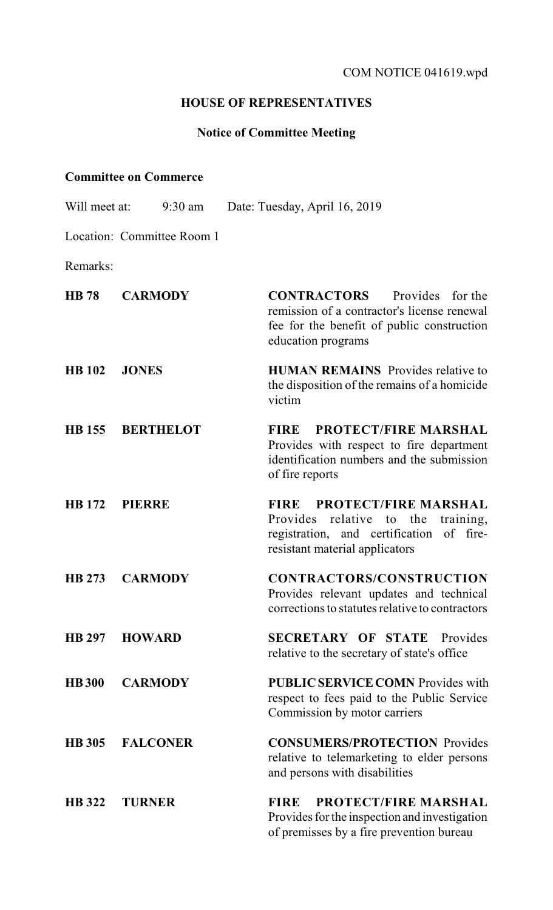## **HOUSE OF REPRESENTATIVES**

## **Notice of Committee Meeting**

## **Committee on Commerce**

- Will meet at: 9:30 am Date: Tuesday, April 16, 2019 Location: Committee Room 1 Remarks: **HB 78 CARMODY CONTRACTORS** Provides for the remission of a contractor's license renewal fee for the benefit of public construction education programs **HB 102 JONES HUMAN REMAINS** Provides relative to the disposition of the remains of a homicide victim **HB 155 BERTHELOT FIRE PROTECT/FIRE MARSHAL**  Provides with respect to fire department identification numbers and the submission of fire reports **HB 172 PIERRE FIRE PROTECT/FIRE MARSHAL**  Provides relative to the training, registration, and certification of fireresistant material applicators **HB 273 CARMODY CONTRACTORS/CONSTRUCTION**  Provides relevant updates and technical corrections to statutes relative to contractors **HB 297 HOWARD SECRETARY OF STATE** Provides relative to the secretary of state's office **HB 300 CARMODY PUBLIC SERVICECOMN** Provides with respect to fees paid to the Public Service Commission by motor carriers
- **HB 305 FALCONER CONSUMERS/PROTECTION** Provides relative to telemarketing to elder persons and persons with disabilities
- **HB 322 TURNER FIRE PROTECT/FIRE MARSHAL**  Provides for the inspection and investigation of premisses by a fire prevention bureau